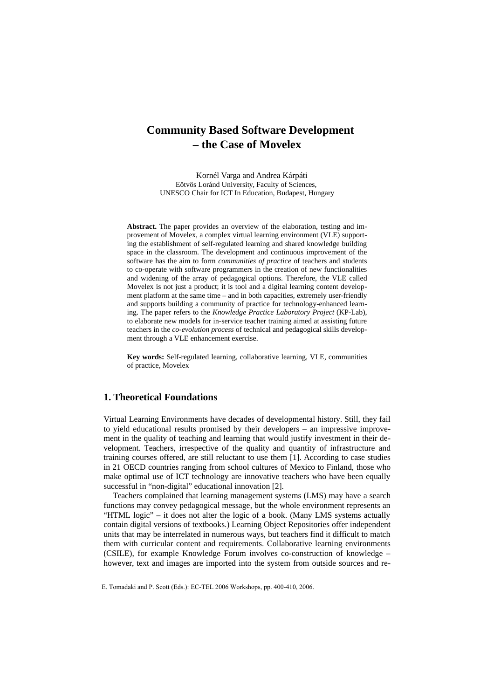# **Community Based Software Development – the Case of Movelex**

Kornél Varga and Andrea Kárpáti Eötvös Loránd University, Faculty of Sciences, UNESCO Chair for ICT In Education, Budapest, Hungary

**Abstract.** The paper provides an overview of the elaboration, testing and improvement of Movelex, a complex virtual learning environment (VLE) supporting the establishment of self-regulated learning and shared knowledge building space in the classroom. The development and continuous improvement of the software has the aim to form *communities of practice* of teachers and students to co-operate with software programmers in the creation of new functionalities and widening of the array of pedagogical options. Therefore, the VLE called Movelex is not just a product; it is tool and a digital learning content development platform at the same time – and in both capacities, extremely user-friendly and supports building a community of practice for technology-enhanced learning. The paper refers to the *Knowledge Practice Laboratory Project* (KP-Lab), to elaborate new models for in-service teacher training aimed at assisting future teachers in the *co-evolution process* of technical and pedagogical skills development through a VLE enhancement exercise.

**Key words:** Self-regulated learning, collaborative learning, VLE, communities of practice, Movelex

# **1. Theoretical Foundations**

Virtual Learning Environments have decades of developmental history. Still, they fail to yield educational results promised by their developers – an impressive improvement in the quality of teaching and learning that would justify investment in their development. Teachers, irrespective of the quality and quantity of infrastructure and training courses offered, are still reluctant to use them [1]. According to case studies in 21 OECD countries ranging from school cultures of Mexico to Finland, those who make optimal use of ICT technology are innovative teachers who have been equally successful in "non-digital" educational innovation [2].

Teachers complained that learning management systems (LMS) may have a search functions may convey pedagogical message, but the whole environment represents an "HTML logic" – it does not alter the logic of a book. (Many LMS systems actually contain digital versions of textbooks.) Learning Object Repositories offer independent units that may be interrelated in numerous ways, but teachers find it difficult to match them with curricular content and requirements. Collaborative learning environments (CSILE), for example Knowledge Forum involves co-construction of knowledge – however, text and images are imported into the system from outside sources and re-

E. Tomadaki and P. Scott (Eds.): EC-TEL 2006 Workshops, pp. 400-410, 2006.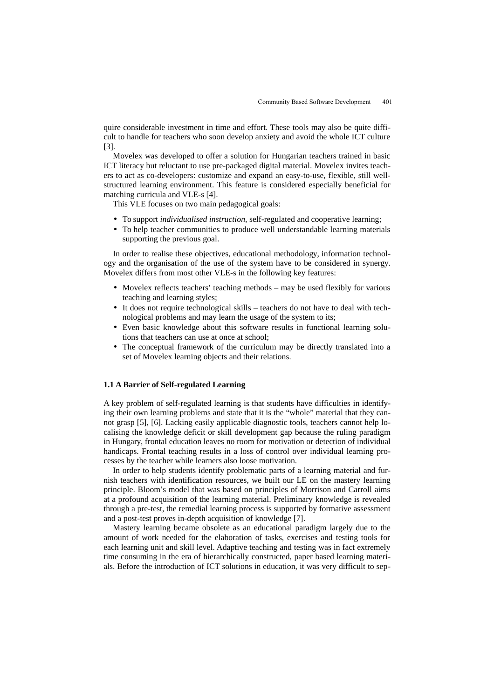quire considerable investment in time and effort. These tools may also be quite difficult to handle for teachers who soon develop anxiety and avoid the whole ICT culture [3].

Movelex was developed to offer a solution for Hungarian teachers trained in basic ICT literacy but reluctant to use pre-packaged digital material. Movelex invites teachers to act as co-developers: customize and expand an easy-to-use, flexible, still wellstructured learning environment. This feature is considered especially beneficial for matching curricula and VLE-s [4].

This VLE focuses on two main pedagogical goals:

- To support *individualised instruction,* self-regulated and cooperative learning;
- To help teacher communities to produce well understandable learning materials supporting the previous goal.

In order to realise these objectives, educational methodology, information technology and the organisation of the use of the system have to be considered in synergy. Movelex differs from most other VLE-s in the following key features:

- Movelex reflects teachers' teaching methods may be used flexibly for various teaching and learning styles;
- It does not require technological skills teachers do not have to deal with technological problems and may learn the usage of the system to its;
- Even basic knowledge about this software results in functional learning solutions that teachers can use at once at school;
- The conceptual framework of the curriculum may be directly translated into a set of Movelex learning objects and their relations.

# **1.1 A Barrier of Self-regulated Learning**

A key problem of self-regulated learning is that students have difficulties in identifying their own learning problems and state that it is the "whole" material that they cannot grasp [5], [6]. Lacking easily applicable diagnostic tools, teachers cannot help localising the knowledge deficit or skill development gap because the ruling paradigm in Hungary, frontal education leaves no room for motivation or detection of individual handicaps. Frontal teaching results in a loss of control over individual learning processes by the teacher while learners also loose motivation.

In order to help students identify problematic parts of a learning material and furnish teachers with identification resources, we built our LE on the mastery learning principle. Bloom's model that was based on principles of Morrison and Carroll aims at a profound acquisition of the learning material. Preliminary knowledge is revealed through a pre-test, the remedial learning process is supported by formative assessment and a post-test proves in-depth acquisition of knowledge [7].

Mastery learning became obsolete as an educational paradigm largely due to the amount of work needed for the elaboration of tasks, exercises and testing tools for each learning unit and skill level. Adaptive teaching and testing was in fact extremely time consuming in the era of hierarchically constructed, paper based learning materials. Before the introduction of ICT solutions in education, it was very difficult to sep-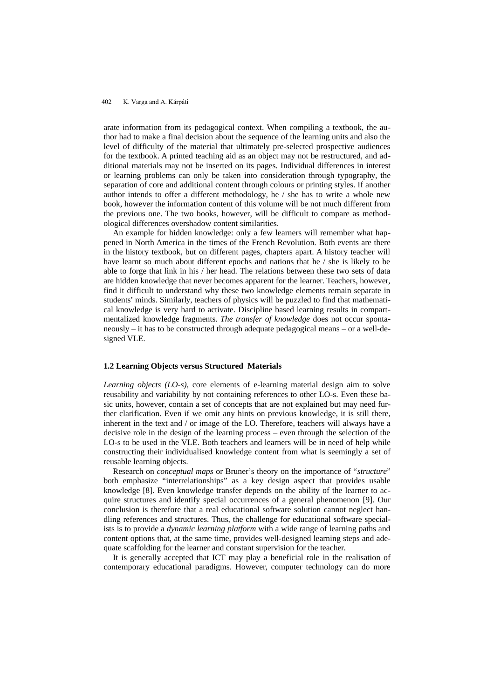arate information from its pedagogical context. When compiling a textbook, the author had to make a final decision about the sequence of the learning units and also the level of difficulty of the material that ultimately pre-selected prospective audiences for the textbook. A printed teaching aid as an object may not be restructured, and additional materials may not be inserted on its pages. Individual differences in interest or learning problems can only be taken into consideration through typography, the separation of core and additional content through colours or printing styles. If another author intends to offer a different methodology, he / she has to write a whole new book, however the information content of this volume will be not much different from the previous one. The two books, however, will be difficult to compare as methodological differences overshadow content similarities.

An example for hidden knowledge: only a few learners will remember what happened in North America in the times of the French Revolution. Both events are there in the history textbook, but on different pages, chapters apart. A history teacher will have learnt so much about different epochs and nations that he / she is likely to be able to forge that link in his / her head. The relations between these two sets of data are hidden knowledge that never becomes apparent for the learner. Teachers, however, find it difficult to understand why these two knowledge elements remain separate in students' minds. Similarly, teachers of physics will be puzzled to find that mathematical knowledge is very hard to activate. Discipline based learning results in compartmentalized knowledge fragments. *The transfer of knowledge* does not occur spontaneously – it has to be constructed through adequate pedagogical means – or a well-designed VLE.

### **1.2 Learning Objects versus Structured Materials**

*Learning objects (LO-s),* core elements of e-learning material design aim to solve reusability and variability by not containing references to other LO-s. Even these basic units, however, contain a set of concepts that are not explained but may need further clarification. Even if we omit any hints on previous knowledge, it is still there, inherent in the text and / or image of the LO. Therefore, teachers will always have a decisive role in the design of the learning process – even through the selection of the LO-s to be used in the VLE. Both teachers and learners will be in need of help while constructing their individualised knowledge content from what is seemingly a set of reusable learning objects.

Research on *conceptual maps* or Bruner's theory on the importance of "*structure*" both emphasize "interrelationships" as a key design aspect that provides usable knowledge [8]. Even knowledge transfer depends on the ability of the learner to acquire structures and identify special occurrences of a general phenomenon [9]. Our conclusion is therefore that a real educational software solution cannot neglect handling references and structures. Thus, the challenge for educational software specialists is to provide a *dynamic learning platform* with a wide range of learning paths and content options that, at the same time, provides well-designed learning steps and adequate scaffolding for the learner and constant supervision for the teacher.

It is generally accepted that ICT may play a beneficial role in the realisation of contemporary educational paradigms. However, computer technology can do more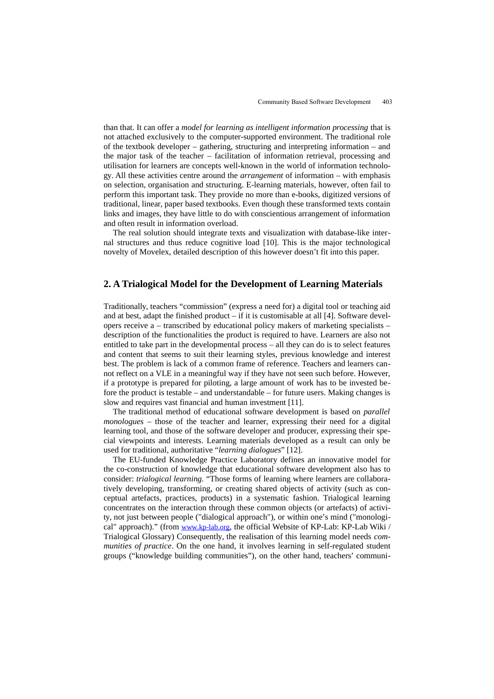than that. It can offer a *model for learning as intelligent information processing* that is not attached exclusively to the computer-supported environment. The traditional role of the textbook developer – gathering, structuring and interpreting information – and the major task of the teacher – facilitation of information retrieval, processing and utilisation for learners are concepts well-known in the world of information technology. All these activities centre around the *arrangement* of information – with emphasis on selection, organisation and structuring. E-learning materials, however, often fail to perform this important task. They provide no more than e-books, digitized versions of traditional, linear, paper based textbooks. Even though these transformed texts contain links and images, they have little to do with conscientious arrangement of information and often result in information overload.

The real solution should integrate texts and visualization with database-like internal structures and thus reduce cognitive load [10]. This is the major technological novelty of Movelex, detailed description of this however doesn't fit into this paper.

# **2. A Trialogical Model for the Development of Learning Materials**

Traditionally, teachers "commission" (express a need for) a digital tool or teaching aid and at best, adapt the finished product  $-$  if it is customisable at all [4]. Software developers receive a – transcribed by educational policy makers of marketing specialists – description of the functionalities the product is required to have. Learners are also not entitled to take part in the developmental process – all they can do is to select features and content that seems to suit their learning styles, previous knowledge and interest best. The problem is lack of a common frame of reference. Teachers and learners cannot reflect on a VLE in a meaningful way if they have not seen such before. However, if a prototype is prepared for piloting, a large amount of work has to be invested before the product is testable – and understandable – for future users. Making changes is slow and requires vast financial and human investment [11].

The traditional method of educational software development is based on *parallel monologues* – those of the teacher and learner, expressing their need for a digital learning tool, and those of the software developer and producer, expressing their special viewpoints and interests. Learning materials developed as a result can only be used for traditional, authoritative "*learning dialogues*" [12].

The EU-funded Knowledge Practice Laboratory defines an innovative model for the co-construction of knowledge that educational software development also has to consider: *trialogical learning.* "Those forms of learning where learners are collaboratively developing, transforming, or creating shared objects of activity (such as conceptual artefacts, practices, products) in a systematic fashion. Trialogical learning concentrates on the interaction through these common objects (or artefacts) of activity, not just between people ("dialogical approach"), or within one's mind ("monological" approach)." (from [www.kp-lab.org](http://www.kp-lab.org/), the official Website of KP-Lab: KP-Lab Wiki / Trialogical Glossary) Consequently, the realisation of this learning model needs *communities of practice*. On the one hand, it involves learning in self-regulated student groups ("knowledge building communities"), on the other hand, teachers' communi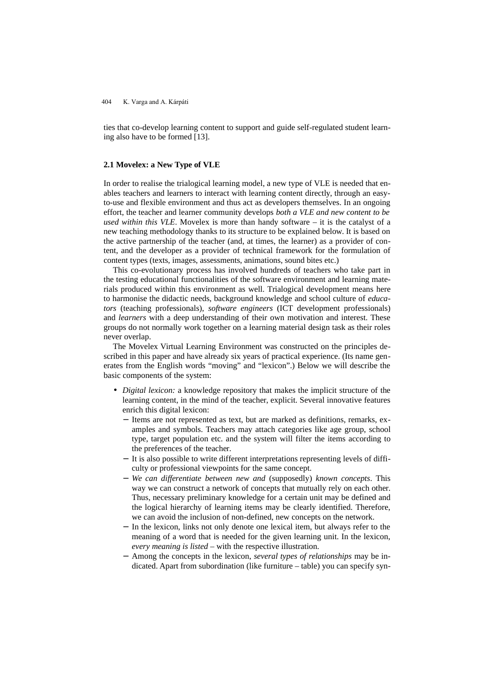ties that co-develop learning content to support and guide self-regulated student learning also have to be formed [13].

### **2.1 Movelex: a New Type of VLE**

In order to realise the trialogical learning model, a new type of VLE is needed that enables teachers and learners to interact with learning content directly, through an easyto-use and flexible environment and thus act as developers themselves. In an ongoing effort, the teacher and learner community develops *both a VLE and new content to be used within this VLE*. Movelex is more than handy software – it is the catalyst of a new teaching methodology thanks to its structure to be explained below. It is based on the active partnership of the teacher (and, at times, the learner) as a provider of content, and the developer as a provider of technical framework for the formulation of content types (texts, images, assessments, animations, sound bites etc.)

This co-evolutionary process has involved hundreds of teachers who take part in the testing educational functionalities of the software environment and learning materials produced within this environment as well. Trialogical development means here to harmonise the didactic needs, background knowledge and school culture of *educators* (teaching professionals), *software engineers* (ICT development professionals) and *learners* with a deep understanding of their own motivation and interest. These groups do not normally work together on a learning material design task as their roles never overlap.

The Movelex Virtual Learning Environment was constructed on the principles described in this paper and have already six years of practical experience. (Its name generates from the English words "moving" and "lexicon".) Below we will describe the basic components of the system:

- *Digital lexicon:* a knowledge repository that makes the implicit structure of the learning content, in the mind of the teacher, explicit. Several innovative features enrich this digital lexicon:
	- − Items are not represented as text, but are marked as definitions, remarks, examples and symbols. Teachers may attach categories like age group, school type, target population etc. and the system will filter the items according to the preferences of the teacher.
	- − It is also possible to write different interpretations representing levels of difficulty or professional viewpoints for the same concept.
	- − *We can differentiate between new and* (supposedly) *known concepts*. This way we can construct a network of concepts that mutually rely on each other. Thus, necessary preliminary knowledge for a certain unit may be defined and the logical hierarchy of learning items may be clearly identified. Therefore, we can avoid the inclusion of non-defined, new concepts on the network.
	- − In the lexicon, links not only denote one lexical item, but always refer to the meaning of a word that is needed for the given learning unit. In the lexicon, *every meaning is listed –* with the respective illustration.
	- − Among the concepts in the lexicon, *several types of relationships* may be indicated. Apart from subordination (like furniture – table) you can specify syn-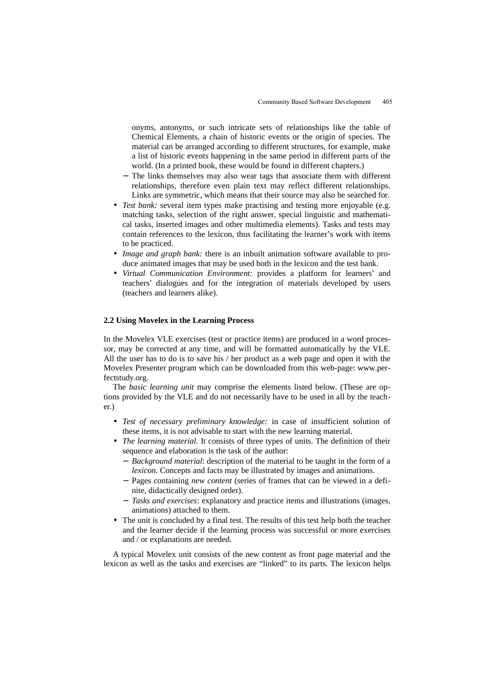onyms, antonyms, or such intricate sets of relationships like the table of Chemical Elements, a chain of historic events or the origin of species. The material can be arranged according to different structures, for example, make a list of historic events happening in the same period in different parts of the world. (In a printed book, these would be found in different chapters.)

- − The links themselves may also wear tags that associate them with different relationships, therefore even plain text may reflect different relationships. Links are symmetric, which means that their source may also be searched for.
- *Test bank:* several item types make practising and testing more enjoyable (e.g. matching tasks, selection of the right answer, special linguistic and mathematical tasks, inserted images and other multimedia elements). Tasks and tests may contain references to the lexicon, thus facilitating the learner's work with items to be practiced.
- *Image and graph bank:* there is an inbuilt animation software available to produce animated images that may be used both in the lexicon and the test bank.
- *Virtual Communication Environment:* provides a platform for learners' and teachers' dialogues and for the integration of materials developed by users (teachers and learners alike).

# **2.2 Using Movelex in the Learning Process**

In the Movelex VLE exercises (test or practice items) are produced in a word processor, may be corrected at any time, and will be formatted automatically by the VLE. All the user has to do is to save his / her product as a web page and open it with the Movelex Presenter program which can be downloaded from this web-page: www.perfectstudy.org.

The *basic learning unit* may comprise the elements listed below. (These are options provided by the VLE and do not necessarily have to be used in all by the teacher.)

- *Test of necessary preliminary knowledge:* in case of insufficient solution of these items, it is not advisable to start with the new learning material.
- *The learning material.* It consists of three types of units. The definition of their sequence and elaboration is the task of the author:
	- − *Background material*: description of the material to be taught in the form of a *lexicon*. Concepts and facts may be illustrated by images and animations.
	- − Pages containing *new content* (series of frames that can be viewed in a definite, didactically designed order).
	- − *Tasks and exercises*: explanatory and practice items and illustrations (images, animations) attached to them.
- The unit is concluded by a final test. The results of this test help both the teacher and the learner decide if the learning process was successful or more exercises and / or explanations are needed.

A typical Movelex unit consists of the new content as front page material and the lexicon as well as the tasks and exercises are "linked" to its parts. The lexicon helps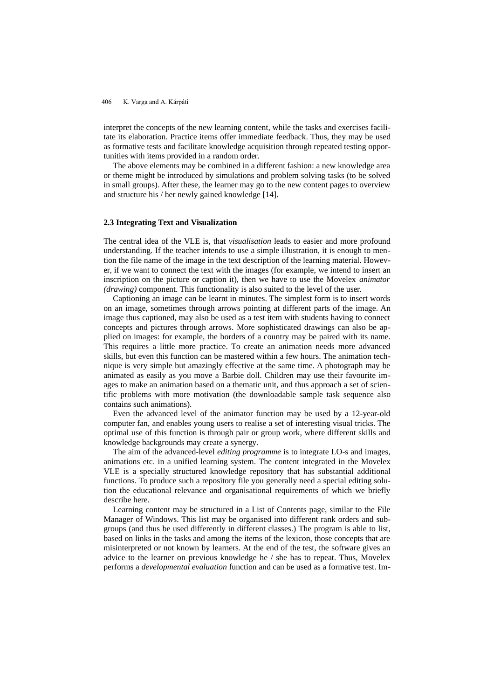interpret the concepts of the new learning content, while the tasks and exercises facilitate its elaboration. Practice items offer immediate feedback. Thus, they may be used as formative tests and facilitate knowledge acquisition through repeated testing opportunities with items provided in a random order.

The above elements may be combined in a different fashion: a new knowledge area or theme might be introduced by simulations and problem solving tasks (to be solved in small groups). After these, the learner may go to the new content pages to overview and structure his / her newly gained knowledge [14].

### **2.3 Integrating Text and Visualization**

The central idea of the VLE is, that *visualisation* leads to easier and more profound understanding. If the teacher intends to use a simple illustration, it is enough to mention the file name of the image in the text description of the learning material. However, if we want to connect the text with the images (for example, we intend to insert an inscription on the picture or caption it), then we have to use the Movelex *animator (drawing)* component. This functionality is also suited to the level of the user.

Captioning an image can be learnt in minutes. The simplest form is to insert words on an image, sometimes through arrows pointing at different parts of the image. An image thus captioned, may also be used as a test item with students having to connect concepts and pictures through arrows. More sophisticated drawings can also be applied on images: for example, the borders of a country may be paired with its name. This requires a little more practice. To create an animation needs more advanced skills, but even this function can be mastered within a few hours. The animation technique is very simple but amazingly effective at the same time. A photograph may be animated as easily as you move a Barbie doll. Children may use their favourite images to make an animation based on a thematic unit, and thus approach a set of scientific problems with more motivation (the downloadable sample task sequence also contains such animations).

Even the advanced level of the animator function may be used by a 12-year-old computer fan, and enables young users to realise a set of interesting visual tricks. The optimal use of this function is through pair or group work, where different skills and knowledge backgrounds may create a synergy.

The aim of the advanced-level *editing programme* is to integrate LO-s and images, animations etc. in a unified learning system. The content integrated in the Movelex VLE is a specially structured knowledge repository that has substantial additional functions. To produce such a repository file you generally need a special editing solution the educational relevance and organisational requirements of which we briefly describe here.

Learning content may be structured in a List of Contents page, similar to the File Manager of Windows. This list may be organised into different rank orders and subgroups (and thus be used differently in different classes.) The program is able to list, based on links in the tasks and among the items of the lexicon, those concepts that are misinterpreted or not known by learners. At the end of the test, the software gives an advice to the learner on previous knowledge he / she has to repeat. Thus, Movelex performs a *developmental evaluation* function and can be used as a formative test. Im-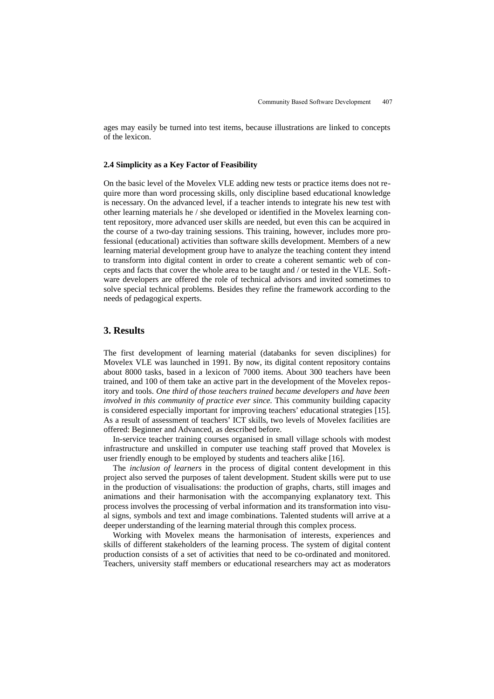ages may easily be turned into test items, because illustrations are linked to concepts of the lexicon.

# **2.4 Simplicity as a Key Factor of Feasibility**

On the basic level of the Movelex VLE adding new tests or practice items does not require more than word processing skills, only discipline based educational knowledge is necessary. On the advanced level, if a teacher intends to integrate his new test with other learning materials he / she developed or identified in the Movelex learning content repository, more advanced user skills are needed, but even this can be acquired in the course of a two-day training sessions. This training, however, includes more professional (educational) activities than software skills development. Members of a new learning material development group have to analyze the teaching content they intend to transform into digital content in order to create a coherent semantic web of concepts and facts that cover the whole area to be taught and / or tested in the VLE. Software developers are offered the role of technical advisors and invited sometimes to solve special technical problems. Besides they refine the framework according to the needs of pedagogical experts.

# **3. Results**

The first development of learning material (databanks for seven disciplines) for Movelex VLE was launched in 1991. By now, its digital content repository contains about 8000 tasks, based in a lexicon of 7000 items. About 300 teachers have been trained, and 100 of them take an active part in the development of the Movelex repository and tools. *One third of those teachers trained became developers and have been involved in this community of practice ever since.* This community building capacity is considered especially important for improving teachers' educational strategies [15]. As a result of assessment of teachers' ICT skills, two levels of Movelex facilities are offered: Beginner and Advanced, as described before.

In-service teacher training courses organised in small village schools with modest infrastructure and unskilled in computer use teaching staff proved that Movelex is user friendly enough to be employed by students and teachers alike [16].

The *inclusion of learners* in the process of digital content development in this project also served the purposes of talent development. Student skills were put to use in the production of visualisations: the production of graphs, charts, still images and animations and their harmonisation with the accompanying explanatory text. This process involves the processing of verbal information and its transformation into visual signs, symbols and text and image combinations. Talented students will arrive at a deeper understanding of the learning material through this complex process.

Working with Movelex means the harmonisation of interests, experiences and skills of different stakeholders of the learning process. The system of digital content production consists of a set of activities that need to be co-ordinated and monitored. Teachers, university staff members or educational researchers may act as moderators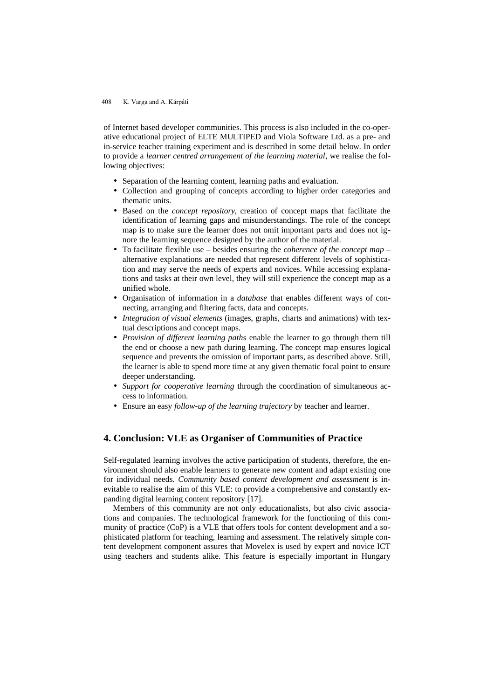of Internet based developer communities. This process is also included in the co-operative educational project of ELTE MULTIPED and Viola Software Ltd. as a pre- and in-service teacher training experiment and is described in some detail below. In order to provide a *learner centred arrangement of the learning material*, we realise the following objectives:

- Separation of the learning content, learning paths and evaluation.
- Collection and grouping of concepts according to higher order categories and thematic units.
- Based on the *concept repository*, creation of concept maps that facilitate the identification of learning gaps and misunderstandings. The role of the concept map is to make sure the learner does not omit important parts and does not ignore the learning sequence designed by the author of the material.
- To facilitate flexible use besides ensuring the *coherence of the concept map* alternative explanations are needed that represent different levels of sophistication and may serve the needs of experts and novices. While accessing explanations and tasks at their own level, they will still experience the concept map as a unified whole.
- Organisation of information in a *database* that enables different ways of connecting, arranging and filtering facts, data and concepts.
- *Integration of visual elements* (images, graphs, charts and animations) with textual descriptions and concept maps.
- *Provision of different learning paths* enable the learner to go through them till the end or choose a new path during learning. The concept map ensures logical sequence and prevents the omission of important parts, as described above. Still, the learner is able to spend more time at any given thematic focal point to ensure deeper understanding.
- *Support for cooperative learning* through the coordination of simultaneous access to information.
- Ensure an easy *follow-up of the learning trajectory* by teacher and learner.

# **4. Conclusion: VLE as Organiser of Communities of Practice**

Self-regulated learning involves the active participation of students, therefore, the environment should also enable learners to generate new content and adapt existing one for individual needs. *Community based content development and assessment* is inevitable to realise the aim of this VLE: to provide a comprehensive and constantly expanding digital learning content repository [17].

Members of this community are not only educationalists, but also civic associations and companies. The technological framework for the functioning of this community of practice (CoP) is a VLE that offers tools for content development and a sophisticated platform for teaching, learning and assessment. The relatively simple content development component assures that Movelex is used by expert and novice ICT using teachers and students alike. This feature is especially important in Hungary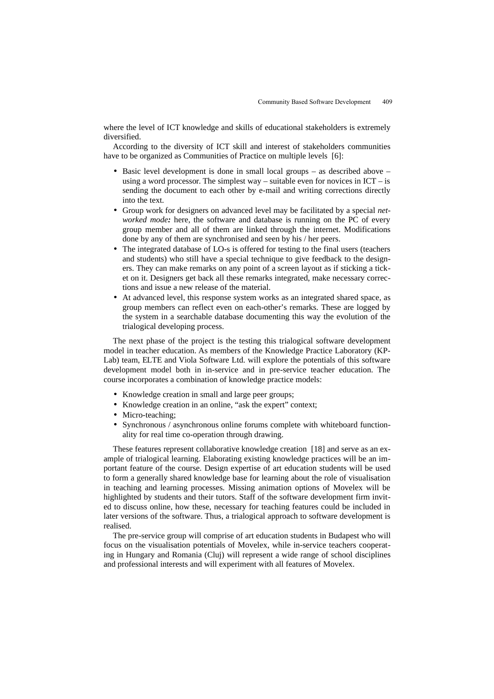where the level of ICT knowledge and skills of educational stakeholders is extremely diversified.

According to the diversity of ICT skill and interest of stakeholders communities have to be organized as Communities of Practice on multiple levels [6]:

- Basic level development is done in small local groups as described above using a word processor. The simplest way – suitable even for novices in  $ICT - is$ sending the document to each other by e-mail and writing corrections directly into the text.
- Group work for designers on advanced level may be facilitated by a special *networked mode:* here, the software and database is running on the PC of every group member and all of them are linked through the internet. Modifications done by any of them are synchronised and seen by his / her peers.
- The integrated database of LO-s is offered for testing to the final users (teachers and students) who still have a special technique to give feedback to the designers. They can make remarks on any point of a screen layout as if sticking a ticket on it. Designers get back all these remarks integrated, make necessary corrections and issue a new release of the material.
- At advanced level, this response system works as an integrated shared space, as group members can reflect even on each-other's remarks. These are logged by the system in a searchable database documenting this way the evolution of the trialogical developing process.

The next phase of the project is the testing this trialogical software development model in teacher education. As members of the Knowledge Practice Laboratory (KP-Lab) team, ELTE and Viola Software Ltd. will explore the potentials of this software development model both in in-service and in pre-service teacher education. The course incorporates a combination of knowledge practice models:

- Knowledge creation in small and large peer groups;
- Knowledge creation in an online, "ask the expert" context;
- Micro-teaching:
- Synchronous / asynchronous online forums complete with whiteboard functionality for real time co-operation through drawing.

These features represent collaborative knowledge creation [18] and serve as an example of trialogical learning. Elaborating existing knowledge practices will be an important feature of the course. Design expertise of art education students will be used to form a generally shared knowledge base for learning about the role of visualisation in teaching and learning processes. Missing animation options of Movelex will be highlighted by students and their tutors. Staff of the software development firm invited to discuss online, how these, necessary for teaching features could be included in later versions of the software. Thus, a trialogical approach to software development is realised.

The pre-service group will comprise of art education students in Budapest who will focus on the visualisation potentials of Movelex, while in-service teachers cooperating in Hungary and Romania (Cluj) will represent a wide range of school disciplines and professional interests and will experiment with all features of Movelex.